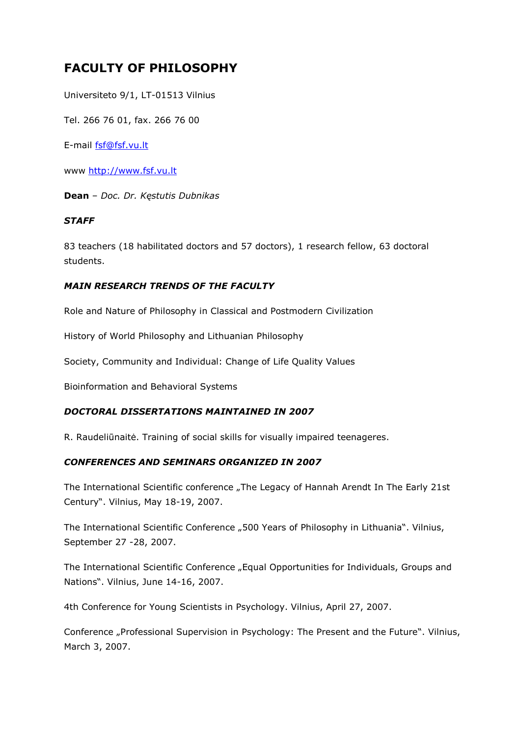# **FACULTY OF PHILOSOPHY**

Universiteto 9/1, LT-01513 Vilnius

Tel. 266 76 01, fax. 266 76 00

E-mail [fsf@fsf.vu.lt](mailto:fsf@fsf.vu.lt)

www [http://www.fsf.vu.lt](http://www.ff.vu.lt/)

**Dean** – *Doc. Dr. Kęstutis Dubnikas*

#### *STAFF*

83 teachers (18 habilitated doctors and 57 doctors), 1 research fellow, 63 doctoral students.

# *MAIN RESEARCH TRENDS OF THE FACULTY*

Role and Nature of Philosophy in Classical and Postmodern Civilization

History of World Philosophy and Lithuanian Philosophy

Society, Community and Individual: Change of Life Quality Values

Bioinformation and Behavioral Systems

#### *DOCTORAL DISSERTATIONS MAINTAINED IN 2007*

R. Raudeliūnaitė. Training of social skills for visually impaired teenageres.

#### *CONFERENCES AND SEMINARS ORGANIZED IN 2007*

The International Scientific conference "The Legacy of Hannah Arendt In The Early 21st Century". Vilnius, May 18-19, 2007.

The International Scientific Conference "500 Years of Philosophy in Lithuania". Vilnius, September 27 -28, 2007.

The International Scientific Conference "Equal Opportunities for Individuals, Groups and Nations". Vilnius, June 14-16, 2007.

4th Conference for Young Scientists in Psychology. Vilnius, April 27, 2007.

Conference "Professional Supervision in Psychology: The Present and the Future". Vilnius, March 3, 2007.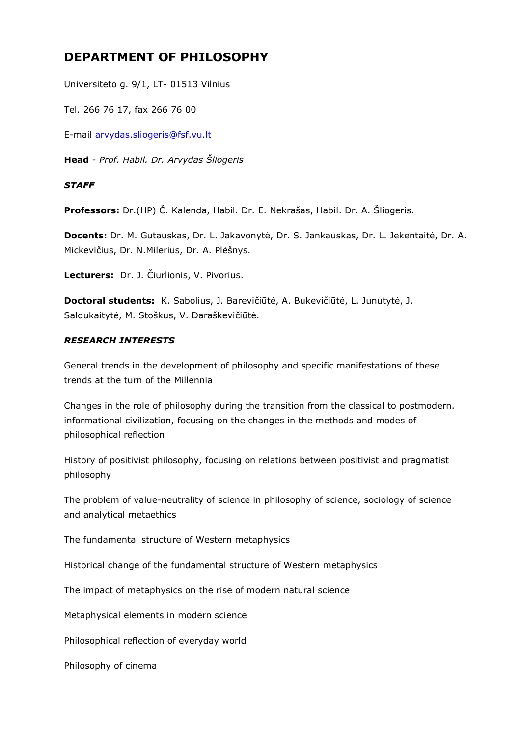# **DEPARTMENT OF PHILOSOPHY**

Universiteto g. 9/1, LT- 01513 Vilnius

Tel. 266 76 17, fax 266 76 00

E-mail [arvydas.sliogeris@fsf.vu.lt](mailto:arvydas.sliogeris@fsf.vu.lt)

**Head** - *Prof. Habil. Dr. Arvydas Šliogeris*

# *STAFF*

**Professors:** Dr.(HP) Č. Kalenda, Habil. Dr. E. Nekrašas, Habil. Dr. A. Šliogeris.

**Docents:** Dr. M. Gutauskas, Dr. L. Jakavonytė, Dr. S. Jankauskas, Dr. L. Jekentaitė, Dr. A. Mickevičius, Dr. N.Milerius, Dr. A. Plėšnys.

**Lecturers:** Dr. J. Čiurlionis, V. Pivorius.

**Doctoral students:** K. Sabolius, J. Barevičiūtė, A. Bukevičiūtė, L. Junutytė, J. Saldukaitytė, M. Stoškus, V. Daraškevičiūtė.

# *RESEARCH INTERESTS*

General trends in the development of philosophy and specific manifestations of these trends at the turn of the Millennia

Changes in the role of philosophy during the transition from the classical to postmodern. informational civilization, focusing on the changes in the methods and modes of philosophical reflection

History of positivist philosophy, focusing on relations between positivist and pragmatist philosophy

The problem of value-neutrality of science in philosophy of science, sociology of science and analytical metaethics

The fundamental structure of Western metaphysics

Historical change of the fundamental structure of Western metaphysics

The impact of metaphysics on the rise of modern natural science

Metaphysical elements in modern science

Philosophical reflection of everyday world

Philosophy of cinema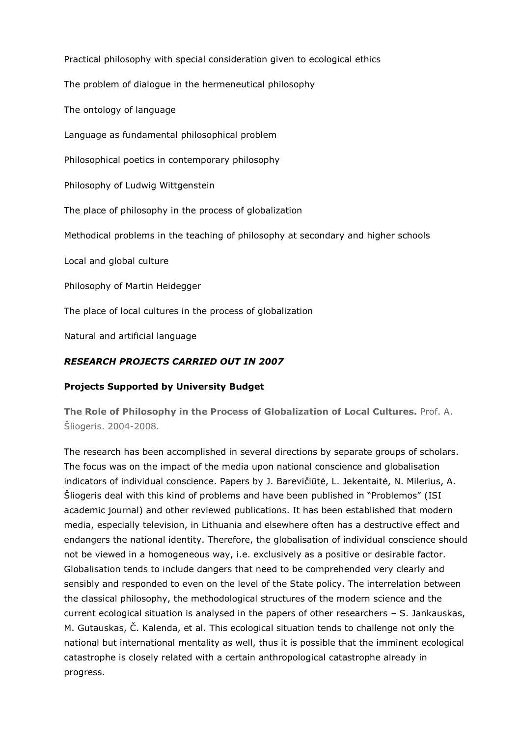Practical philosophy with special consideration given to ecological ethics

The problem of dialogue in the hermeneutical philosophy

The ontology of language

Language as fundamental philosophical problem

Philosophical poetics in contemporary philosophy

Philosophy of Ludwig Wittgenstein

The place of philosophy in the process of globalization

Methodical problems in the teaching of philosophy at secondary and higher schools

Local and global culture

Philosophy of Martin Heidegger

The place of local cultures in the process of globalization

Natural and artificial language

# *RESEARCH PROJECTS CARRIED OUT IN 2007*

# **Projects Supported by University Budget**

**The Role of Philosophy in the Process of Globalization of Local Cultures.** Prof. A. Šliogeris. 2004-2008.

The research has been accomplished in several directions by separate groups of scholars. The focus was on the impact of the media upon national conscience and globalisation indicators of individual conscience. Papers by J. Barevičiūtė, L. Jekentaitė, N. Milerius, A. Šliogeris deal with this kind of problems and have been published in "Problemos" (ISI academic journal) and other reviewed publications. It has been established that modern media, especially television, in Lithuania and elsewhere often has a destructive effect and endangers the national identity. Therefore, the globalisation of individual conscience should not be viewed in a homogeneous way, i.e. exclusively as a positive or desirable factor. Globalisation tends to include dangers that need to be comprehended very clearly and sensibly and responded to even on the level of the State policy. The interrelation between the classical philosophy, the methodological structures of the modern science and the current ecological situation is analysed in the papers of other researchers – S. Jankauskas, M. Gutauskas, Č. Kalenda, et al. This ecological situation tends to challenge not only the national but international mentality as well, thus it is possible that the imminent ecological catastrophe is closely related with a certain anthropological catastrophe already in progress.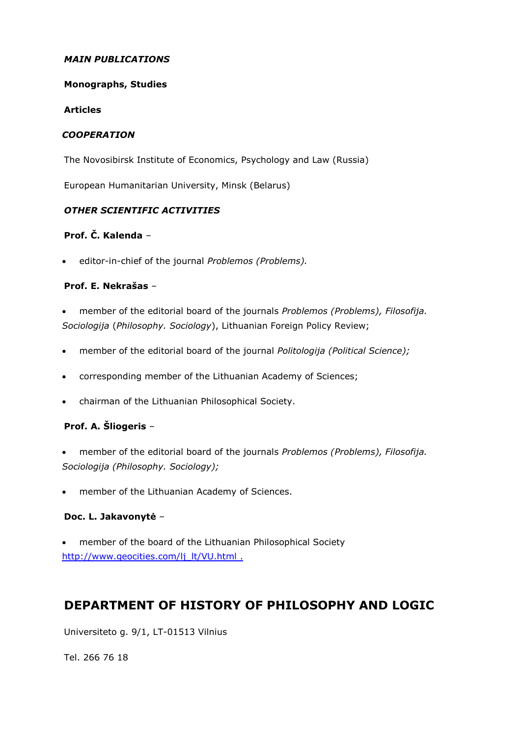## *MAIN PUBLICATIONS*

#### **Monographs, Studies**

#### **Articles**

#### *COOPERATION*

The Novosibirsk Institute of Economics, Psychology and Law (Russia)

European Humanitarian University, Minsk (Belarus)

# *OTHER SCIENTIFIC ACTIVITIES*

# **Prof. Č. Kalenda** –

editor-in-chief of the journal *Problemos (Problems).*

# **Prof. E. Nekrašas** –

- member of the editorial board of the journals *Problemos (Problems), Filosofija. Sociologija* (*Philosophy. Sociology*), Lithuanian Foreign Policy Review;
- member of the editorial board of the journal *Politologija (Political Science);*
- corresponding member of the Lithuanian Academy of Sciences;
- chairman of the Lithuanian Philosophical Society.

# **Prof. A. Šliogeris** –

- member of the editorial board of the journals *Problemos (Problems), Filosofija. Sociologija (Philosophy. Sociology);*
- member of the Lithuanian Academy of Sciences.

#### **Doc. L. Jakavonytė** –

 member of the board of the Lithuanian Philosophical Society [http://www.geocities.com/lj\\_lt/VU.html](http://www.geocities.com/lj_lt/VU.html) .

# **DEPARTMENT OF HISTORY OF PHILOSOPHY AND LOGIC**

Universiteto g. 9/1, LT-01513 Vilnius

Tel. 266 76 18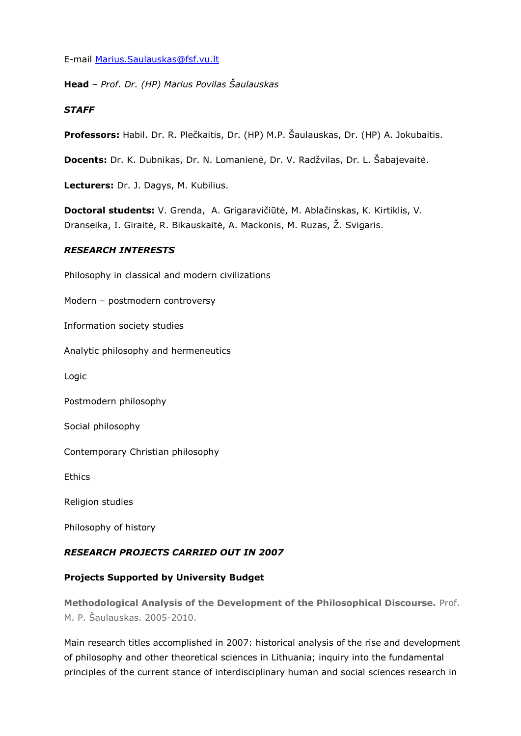E-mail [Marius.Saulauskas@fsf.vu.lt](mailto:Marius.Saulauskas@fsf.vu.lt)

**Head** – *Prof. Dr. (HP) Marius Povilas Šaulauskas*

### *STAFF*

**Professors:** Habil. Dr. R. Plečkaitis, Dr. (HP) M.P. Šaulauskas, Dr. (HP) A. Jokubaitis.

**Docents:** Dr. K. Dubnikas, Dr. N. Lomanienė, Dr. V. Radžvilas, Dr. L. Šabajevaitė.

**Lecturers:** Dr. J. Dagys, M. Kubilius.

**Doctoral students:** V. Grenda, A. Grigaravičiūtė, M. Ablačinskas, K. Kirtiklis, V. Dranseika, I. Giraitė, R. Bikauskaitė, A. Mackonis, M. Ruzas, Ž. Svigaris.

# *RESEARCH INTERESTS*

Philosophy in classical and modern civilizations Modern – postmodern controversy Information society studies Analytic philosophy and hermeneutics Logic Postmodern philosophy Social philosophy Contemporary Christian philosophy Ethics Religion studies Philosophy of history

# *RESEARCH PROJECTS CARRIED OUT IN 2007*

# **Projects Supported by University Budget**

**Methodological Analysis of the Development of the Philosophical Discourse.** Prof. M. P. Šaulauskas. 2005-2010.

Main research titles accomplished in 2007: historical analysis of the rise and development of philosophy and other theoretical sciences in Lithuania; inquiry into the fundamental principles of the current stance of interdisciplinary human and social sciences research in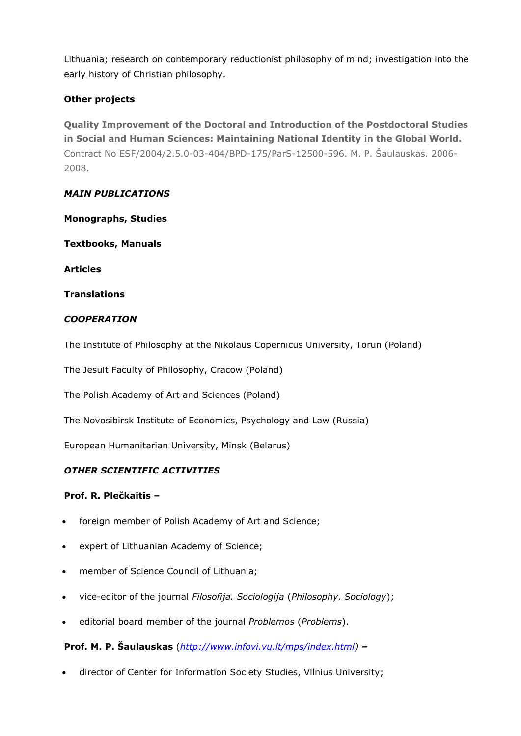Lithuania; research on contemporary reductionist philosophy of mind; investigation into the early history of Christian philosophy.

# **Other projects**

**Quality Improvement of the Doctoral and Introduction of the Postdoctoral Studies in Social and Human Sciences: Maintaining National Identity in the Global World.** Contract No ESF/2004/2.5.0-03-404/BPD-175/ParS-12500-596. M. P. Šaulauskas. 2006- 2008.

#### *MAIN PUBLICATIONS*

**Monographs, Studies**

**Textbooks, Manuals**

**Articles**

**Translations**

# *COOPERATION*

The Institute of Philosophy at the Nikolaus Copernicus University, Torun (Poland)

The Jesuit Faculty of Philosophy, Cracow (Poland)

The Polish Academy of Art and Sciences (Poland)

The Novosibirsk Institute of Economics, Psychology and Law (Russia)

European Humanitarian University, Minsk (Belarus)

# *OTHER SCIENTIFIC ACTIVITIES*

#### **Prof. R. Plečkaitis –**

- foreign member of Polish Academy of Art and Science;
- expert of Lithuanian Academy of Science;
- member of Science Council of Lithuania;
- vice-editor of the journal *Filosofija. Sociologija* (*Philosophy. Sociology*);
- editorial board member of the journal *Problemos* (*Problems*).

**Prof. M. P. Šaulauskas** (*[http://www.infovi.vu.lt/mps/index.html\)](http://www.infovi.vu.lt/mps/index.html) –*

director of Center for Information Society Studies, Vilnius University;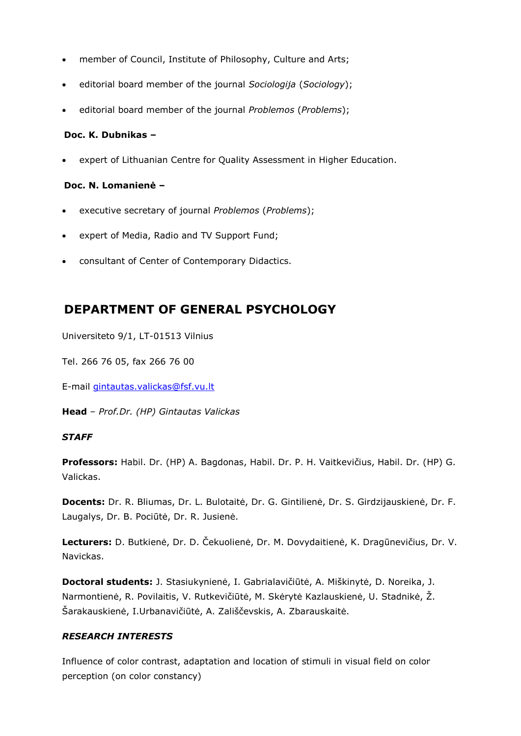- member of Council, Institute of Philosophy, Culture and Arts;
- editorial board member of the journal *Sociologija* (*Sociology*);
- editorial board member of the journal *Problemos* (*Problems*);

#### **Doc. K. Dubnikas –**

expert of Lithuanian Centre for Quality Assessment in Higher Education.

#### **Doc. N. Lomanienė –**

- executive secretary of journal *Problemos* (*Problems*);
- expert of Media, Radio and TV Support Fund;
- consultant of Center of Contemporary Didactics.

# **DEPARTMENT OF GENERAL PSYCHOLOGY**

Universiteto 9/1, LT-01513 Vilnius

Tel. 266 76 05, fax 266 76 00

E-mail [gintautas.valickas@fsf.vu.lt](mailto:gintautas.valickas@fsf.vu.lt)

**Head** – *Prof.Dr. (HP) Gintautas Valickas*

#### *STAFF*

**Professors:** Habil. Dr. (HP) A. Bagdonas, Habil. Dr. P. H. Vaitkevičius, Habil. Dr. (HP) G. Valickas.

**Docents:** Dr. R. Bliumas, Dr. L. Bulotaitė, Dr. G. Gintilienė, Dr. S. Girdzijauskienė, Dr. F. Laugalys, Dr. B. Pociūtė, Dr. R. Jusienė.

**Lecturers:** D. Butkienė, Dr. D. Čekuolienė, Dr. M. Dovydaitienė, K. Dragūnevičius, Dr. V. Navickas.

**Doctoral students:** J. Stasiukynienė, I. Gabrialavičiūtė, A. Miškinytė, D. Noreika, J. Narmontienė, R. Povilaitis, V. Rutkevičiūtė, M. Skėrytė Kazlauskienė, U. Stadnikė, Ž. Šarakauskienė, I.Urbanavičiūtė, A. Zališčevskis, A. Zbarauskaitė.

#### *RESEARCH INTERESTS*

Influence of color contrast, adaptation and location of stimuli in visual field on color perception (on color constancy)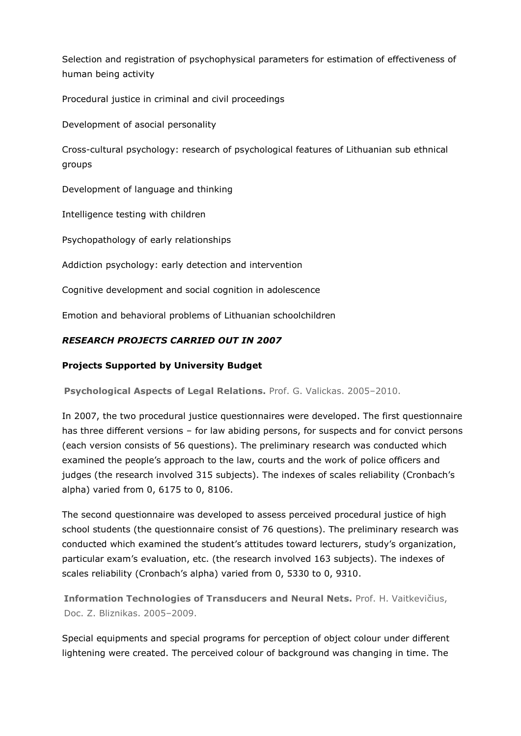Selection and registration of psychophysical parameters for estimation of effectiveness of human being activity

Procedural justice in criminal and civil proceedings

Development of asocial personality

Cross-cultural psychology: research of psychological features of Lithuanian sub ethnical groups

Development of language and thinking

Intelligence testing with children

Psychopathology of early relationships

Addiction psychology: early detection and intervention

Cognitive development and social cognition in adolescence

Emotion and behavioral problems of Lithuanian schoolchildren

# *RESEARCH PROJECTS CARRIED OUT IN 2007*

# **Projects Supported by University Budget**

**Psychological Aspects of Legal Relations.** Prof. G. Valickas. 2005–2010.

In 2007, the two procedural justice questionnaires were developed. The first questionnaire has three different versions – for law abiding persons, for suspects and for convict persons (each version consists of 56 questions). The preliminary research was conducted which examined the people's approach to the law, courts and the work of police officers and judges (the research involved 315 subjects). The indexes of scales reliability (Cronbach's alpha) varied from 0, 6175 to 0, 8106.

The second questionnaire was developed to assess perceived procedural justice of high school students (the questionnaire consist of 76 questions). The preliminary research was conducted which examined the student's attitudes toward lecturers, study's organization, particular exam's evaluation, etc. (the research involved 163 subjects). The indexes of scales reliability (Cronbach's alpha) varied from 0, 5330 to 0, 9310.

**Information Technologies of Transducers and Neural Nets.** Prof. H. Vaitkevičius, Doc. Z. Bliznikas. 2005–2009.

Special equipments and special programs for perception of object colour under different lightening were created. The perceived colour of background was changing in time. The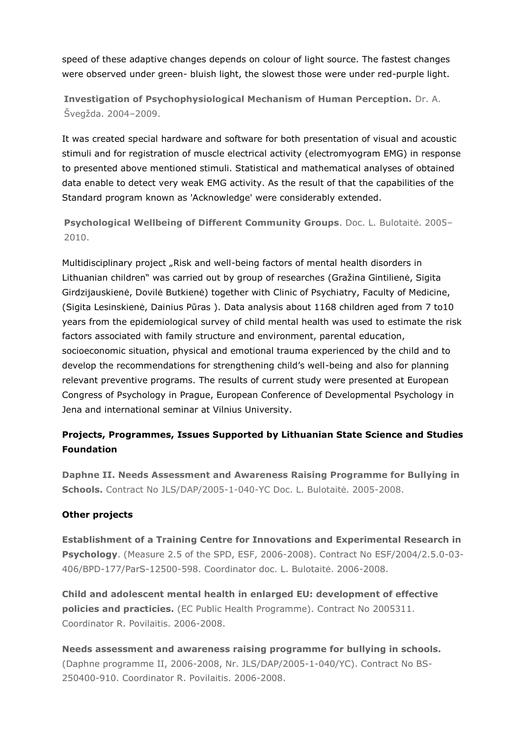speed of these adaptive changes depends on colour of light source. The fastest changes were observed under green- bluish light, the slowest those were under red-purple light.

**Investigation of Psychophysiological Mechanism of Human Perception.** Dr. A. Švegžda. 2004–2009.

It was created special hardware and software for both presentation of visual and acoustic stimuli and for registration of muscle electrical activity (electromyogram EMG) in response to presented above mentioned stimuli. Statistical and mathematical analyses of obtained data enable to detect very weak EMG activity. As the result of that the capabilities of the Standard program known as 'Acknowledge' were considerably extended.

**Psychological Wellbeing of Different Community Groups**. Doc. L. Bulotaitė. 2005– 2010.

Multidisciplinary project "Risk and well-being factors of mental health disorders in Lithuanian children" was carried out by group of researches (Gražina Gintilienė, Sigita Girdzijauskienė, Dovilė Butkienė) together with Clinic of Psychiatry, Faculty of Medicine, (Sigita Lesinskienė, Dainius Pūras ). Data analysis about 1168 children aged from 7 to10 years from the epidemiological survey of child mental health was used to estimate the risk factors associated with family structure and environment, parental education, socioeconomic situation, physical and emotional trauma experienced by the child and to develop the recommendations for strengthening child's well-being and also for planning relevant preventive programs. The results of current study were presented at European Congress of Psychology in Prague, European Conference of Developmental Psychology in Jena and international seminar at Vilnius University.

# **Projects, Programmes, Issues Supported by Lithuanian State Science and Studies Foundation**

**Daphne II. Needs Assessment and Awareness Raising Programme for Bullying in Schools.** Contract No JLS/DAP/2005-1-040-YC Doc. L. Bulotaitė. 2005-2008.

# **Other projects**

**[Establishment of a Training Centre for Innovations and Experimental Research in](http://www.fsf.vu.lt/index.php?option=com_content&task=view&id=215&Itemid=340)  [Psychology](http://www.fsf.vu.lt/index.php?option=com_content&task=view&id=215&Itemid=340)**. (Measure 2.5 of the SPD, ESF, 2006-2008). Contract No ESF/2004/2.5.0-03- 406/BPD-177/ParS-12500-598. Coordinator doc. L. Bulotaitė. 2006-2008.

**Child and adolescent mental health in enlarged EU: development of effective policies and practicies.** (EC Public Health Programme). Contract No 2005311. Coordinator R. Povilaitis. 2006-2008.

**Needs assessment and awareness raising programme for bullying in schools.**  (Daphne programme II, 2006-2008, Nr. JLS/DAP/2005-1-040/YC). Contract No BS-250400-910. Coordinator R. Povilaitis. 2006-2008.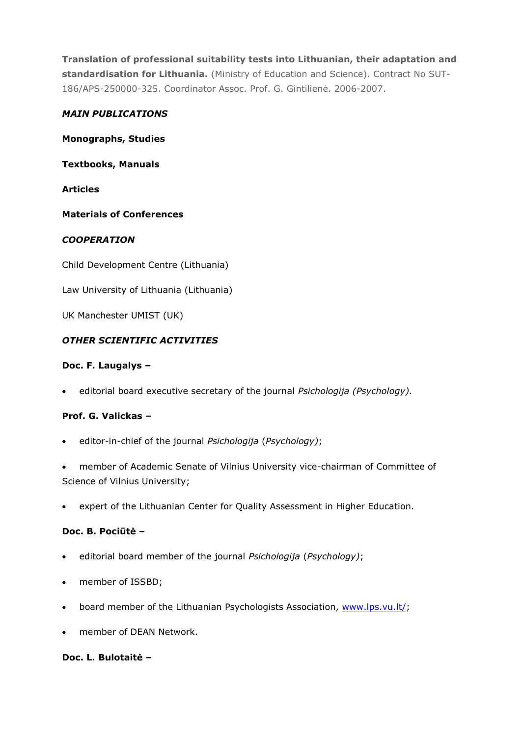**Translation of professional suitability tests into Lithuanian, their adaptation and standardisation for Lithuania.** (Ministry of Education and Science). Contract No SUT-186/APS-250000-325. Coordinator Assoc. Prof. G. Gintilienė. 2006-2007.

### *MAIN PUBLICATIONS*

**Monographs, Studies**

**Textbooks, Manuals**

**Articles**

**Materials of Conferences**

# *COOPERATION*

Child Development Centre (Lithuania)

Law University of Lithuania (Lithuania)

UK Manchester UMIST (UK)

# *OTHER SCIENTIFIC ACTIVITIES*

# **Doc. F. Laugalys –**

editorial board executive secretary of the journal *Psichologija (Psychology).*

# **Prof. G. Valickas –**

- editor-in-chief of the journal *Psichologija* (*Psychology)*;
- member of Academic Senate of Vilnius University vice-chairman of Committee of Science of Vilnius University;
- expert of the Lithuanian Center for Quality Assessment in Higher Education.

### **Doc. B. Pociūtė –**

- editorial board member of the journal *Psichologija* (*Psychology)*;
- member of ISSBD;
- board member of the Lithuanian Psychologists Association, [www.lps.vu.lt/;](http://www.lps.vu.lt/)
- member of DEAN Network.

#### **Doc. L. Bulotaitė –**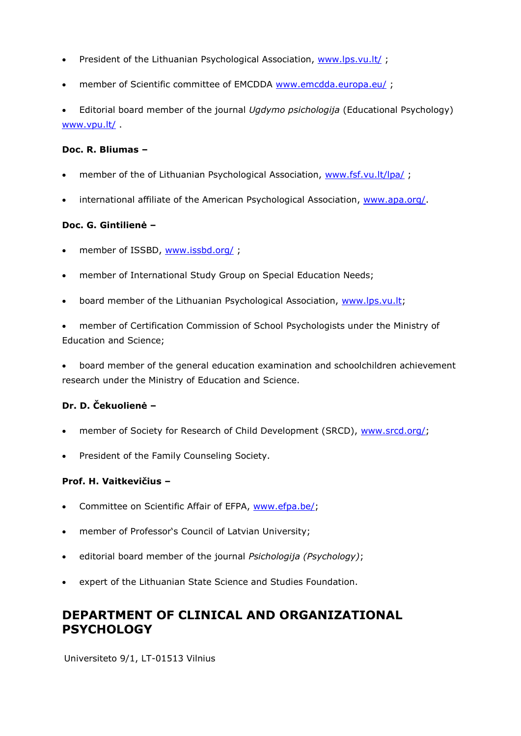- President of the Lithuanian Psychological Association, [www.lps.vu.lt/](http://www.lps.vu.lt/);
- member of Scientific committee of EMCDDA [www.emcdda.europa.eu/](http://www.emcdda.europa.eu/) ;

 Editorial board member of the journal *Ugdymo psichologija* (Educational Psychology) [www.vpu.lt/](http://www.vpu.lt/) .

#### **Doc. R. Bliumas –**

- member of the of Lithuanian Psychological Association, [www.fsf.vu.lt/lpa/](http://www.fsf.vu.lt/lpa/) ;
- international affiliate of the American Psychological Association, [www.apa.org/.](http://www.apa.org/)

#### **Doc. G. Gintilienė –**

- member of ISSBD, [www.issbd.org/](http://www.issbd.org/);
- member of International Study Group on Special Education Needs;
- board member of the Lithuanian Psychological Association, [www.lps.vu.lt;](http://www.lps.vu.lt/)

 member of Certification Commission of School Psychologists under the Ministry of Education and Science;

 board member of the general education examination and schoolchildren achievement research under the Ministry of Education and Science.

#### **Dr. D. Čekuolienė –**

- member of Society for Research of Child Development (SRCD), [www.srcd.org/;](http://www.srcd.org/)
- President of the Family Counseling Society.

#### **Prof. H. Vaitkevičius –**

- Committee on Scientific Affair of EFPA, [www.efpa.be/;](http://www.efpa.be/)
- member of Professor's Council of Latvian University;
- editorial board member of the journal *Psichologija (Psychology)*;
- expert of the Lithuanian State Science and Studies Foundation.

# **DEPARTMENT OF CLINICAL AND ORGANIZATIONAL PSYCHOLOGY**

Universiteto 9/1, LT-01513 Vilnius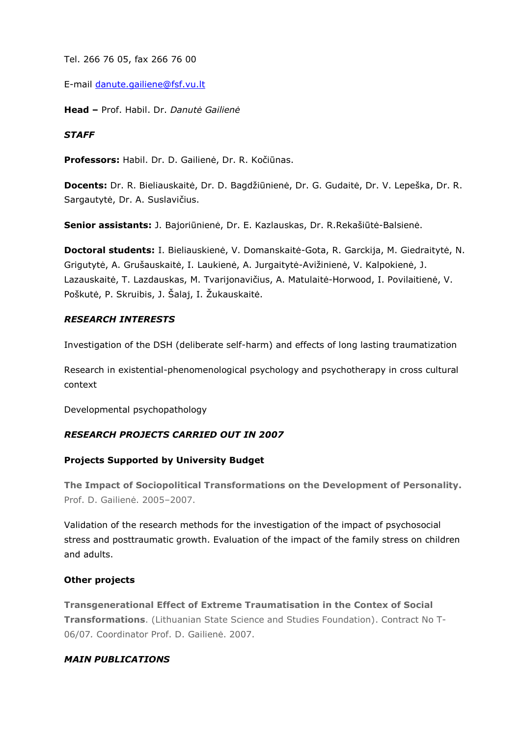Tel. 266 76 05, fax 266 76 00

E-mail [danute.gailiene@fsf.vu.lt](mailto:danute.gailiene@fsf.vu.lt)

**Head –** Prof. Habil. Dr. *Danutė Gailienė*

#### *STAFF*

**Professors:** Habil. Dr. D. Gailienė, Dr. R. Kočiūnas.

**Docents:** Dr. R. Bieliauskaitė, Dr. D. Bagdžiūnienė, Dr. G. Gudaitė, Dr. V. Lepeška, Dr. R. Sargautytė, Dr. A. Suslavičius.

**Senior assistants:** J. Bajoriūnienė, Dr. E. Kazlauskas, Dr. R.Rekašiūtė-Balsienė.

**Doctoral students:** I. Bieliauskienė, V. Domanskaitė-Gota, R. Garckija, M. Giedraitytė, N. Grigutytė, A. Grušauskaitė, I. Laukienė, A. Jurgaitytė-Avižinienė, V. Kalpokienė, J. Lazauskaitė, T. Lazdauskas, M. Tvarijonavičius, A. Matulaitė-Horwood, I. Povilaitienė, V. Poškutė, P. Skruibis, J. Šalaj, I. Žukauskaitė.

#### *RESEARCH INTERESTS*

Investigation of the DSH (deliberate self-harm) and effects of long lasting traumatization

Research in existential-phenomenological psychology and psychotherapy in cross cultural context

Developmental psychopathology

#### *RESEARCH PROJECTS CARRIED OUT IN 2007*

#### **Projects Supported by University Budget**

**The Impact of Sociopolitical Transformations on the Development of Personality.**  Prof. D. Gailienė. 2005–2007.

Validation of the research methods for the investigation of the impact of psychosocial stress and posttraumatic growth. Evaluation of the impact of the family stress on children and adults.

#### **Other projects**

**Transgenerational Effect of Extreme Traumatisation in the Contex of Social Transformations**. (Lithuanian State Science and Studies Foundation). Contract No T-06/07*.* Coordinator Prof. D. Gailienė. 2007.

#### *MAIN PUBLICATIONS*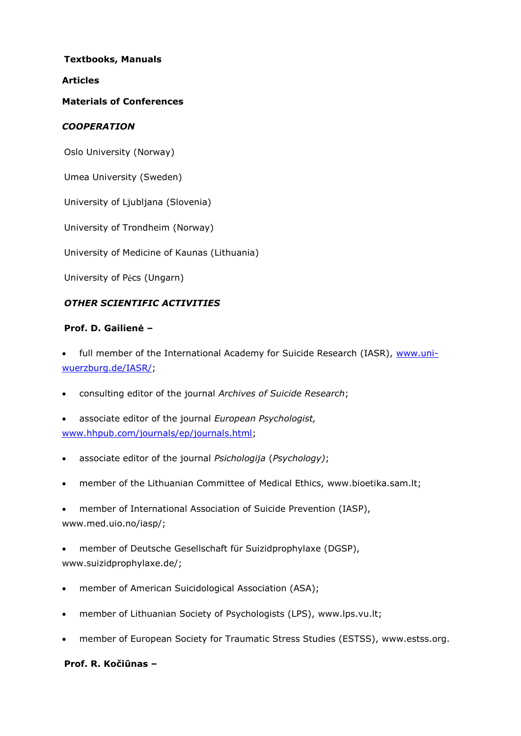#### **Textbooks, Manuals**

#### **Articles**

#### **Materials of Conferences**

### *COOPERATION*

Oslo University (Norway)

Umea University (Sweden)

University of Ljubljana (Slovenia)

University of Trondheim (Norway)

University of Medicine of Kaunas (Lithuania)

University of Pécs (Ungarn)

#### *OTHER SCIENTIFIC ACTIVITIES*

#### **Prof. D. Gailienė –**

full member of the International Academy for Suicide Research (IASR), [www.uni](http://www.uni-wuerzburg.de/IASR/)[wuerzburg.de/IASR/;](http://www.uni-wuerzburg.de/IASR/)

consulting editor of the journal *Archives of Suicide Research*;

 associate editor of the journal *European Psychologist,* [www.hhpub.com/journals/ep/journals.html;](http://www.hhpub.com/journals/ep/journals.html)

- associate editor of the journal *Psichologija* (*Psychology)*;
- member of the Lithuanian Committee of Medical Ethics, [www.bioetika.sam.lt;](http://www.bioetika.sam.lt/)
- member of International Association of Suicide Prevention (IASP), [www.med.uio.no/iasp/;](http://www.med.uio.no/iasp/)

 member of Deutsche Gesellschaft für Suizidprophylaxe (DGSP), [www.suizidprophylaxe.de/;](http://www.suizidprophylaxe.de/)

- member of American Suicidological Association (ASA);
- member of Lithuanian Society of Psychologists (LPS), [www.lps.vu.lt;](http://www.lps.vu.lt/)
- member of European Society for Traumatic Stress Studies (ESTSS), [www.estss.org.](http://www.estss.org/)

#### **Prof. R. Kočiūnas –**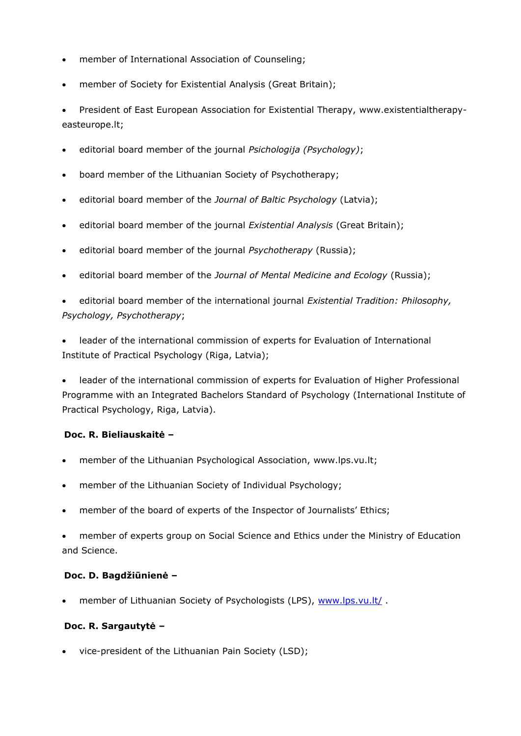- member of International Association of Counseling;
- member of Society for Existential Analysis (Great Britain);

 President of East European Association for Existential Therapy, [www.existentialtherapy](http://www.existentialtherapy-easteurope.lt/)[easteurope.lt;](http://www.existentialtherapy-easteurope.lt/)

- editorial board member of the journal *Psichologija (Psychology)*;
- board member of the Lithuanian Society of Psychotherapy;
- editorial board member of the *Journal of Baltic Psychology* (Latvia);
- editorial board member of the journal *Existential Analysis* (Great Britain);
- editorial board member of the journal *Psychotherapy* (Russia);
- editorial board member of the *Journal of Mental Medicine and Ecology* (Russia);

 editorial board member of the international journal *Existential Tradition: Philosophy, Psychology, Psychotherapy*;

 leader of the international commission of experts for Evaluation of International Institute of Practical Psychology (Riga, Latvia);

 leader of the international commission of experts for Evaluation of Higher Professional Programme with an Integrated Bachelors Standard of Psychology (International Institute of Practical Psychology, Riga, Latvia).

### **Doc. R. Bieliauskaitė –**

- member of the Lithuanian Psychological Association, [www.lps.vu.lt;](http://www.lps.vu.lt/)
- member of the Lithuanian Society of Individual Psychology;
- member of the board of experts of the Inspector of Journalists' Ethics;

 member of experts group on Social Science and Ethics under the Ministry of Education and Science.

#### **Doc. D. Bagdžiūnienė –**

member of Lithuanian Society of Psychologists (LPS), [www.lps.vu.lt/](http://www.lps.vu.lt/) .

#### **Doc. R. Sargautytė –**

vice-president of the Lithuanian Pain Society (LSD);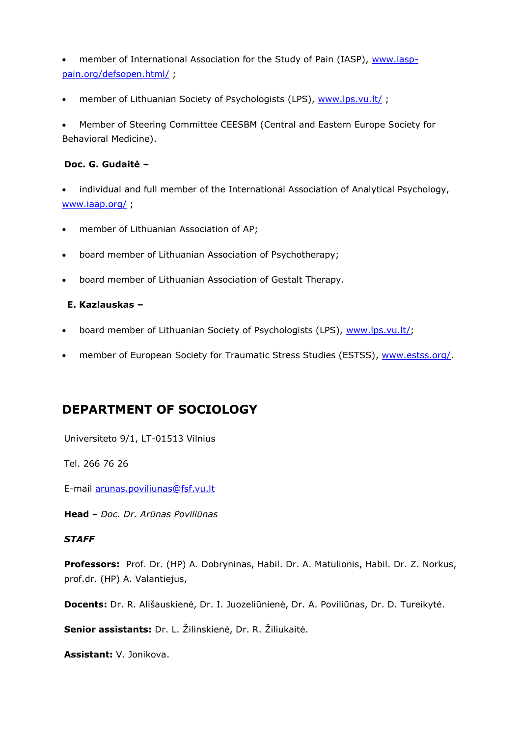member of International Association for the Study of Pain (IASP), [www.iasp](http://www.iasp-pain.org/defsopen.html/)[pain.org/defsopen.html/](http://www.iasp-pain.org/defsopen.html/) ;

• member of Lithuanian Society of Psychologists (LPS), [www.lps.vu.lt/](http://www.lps.vu.lt/);

 Member of Steering Committee CEESBM (Central and Eastern Europe Society for Behavioral Medicine).

### **Doc. G. Gudaitė –**

 individual and full member of the International Association of Analytical Psychology, [www.iaap.org/](http://www.iaap.org/) ;

- member of Lithuanian Association of AP;
- board member of Lithuanian Association of Psychotherapy;
- board member of Lithuanian Association of Gestalt Therapy.

# **E. Kazlauskas –**

- board member of Lithuanian Society of Psychologists (LPS), [www.lps.vu.lt/;](http://www.lps.vu.lt/)
- member of European Society for Traumatic Stress Studies (ESTSS), [www.estss.org/.](http://www.estss.org/)

# **DEPARTMENT OF SOCIOLOGY**

Universiteto 9/1, LT-01513 Vilnius

Tel. 266 76 26

E-mail [arunas.poviliunas@fsf.vu.lt](mailto:arunas.poviliunas@fsf.vu.lt)

**Head** – *Doc. Dr. Arūnas Poviliūnas*

#### *STAFF*

**Professors:** Prof. Dr. (HP) A. Dobryninas, Habil. Dr. A. Matulionis, Habil. Dr. Z. Norkus, prof.dr. (HP) A. Valantiejus,

**Docents:** Dr. R. Ališauskienė, Dr. I. Juozeliūnienė, Dr. A. Poviliūnas, Dr. D. Tureikytė.

**Senior assistants:** Dr. L. Žilinskienė, Dr. R. Žiliukaitė.

**Assistant:** V. Jonikova.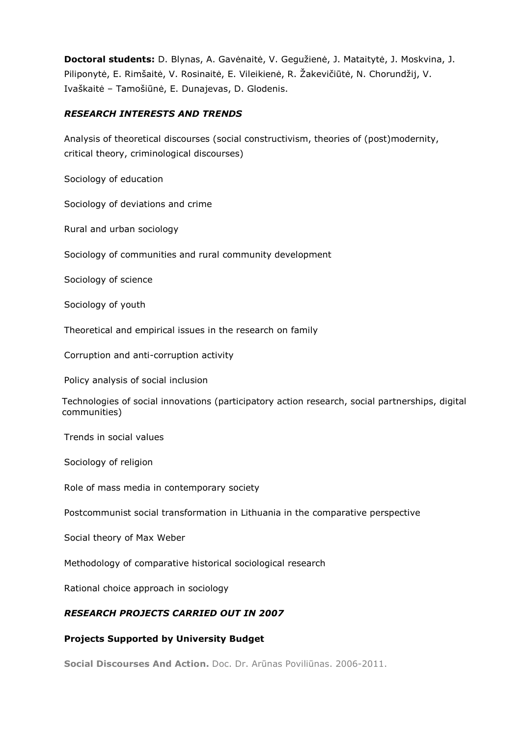**Doctoral students:** D. Blynas, A. Gavėnaitė, V. Gegužienė, J. Mataitytė, J. Moskvina, J. Piliponytė, E. Rimšaitė, V. Rosinaitė, E. Vileikienė, R. Žakevičiūtė, N. Chorundžij, V. Ivaškaitė – Tamošiūnė, E. Dunajevas, D. Glodenis.

#### *RESEARCH INTERESTS AND TRENDS*

Analysis of theoretical discourses (social constructivism, theories of (post)modernity, critical theory, criminological discourses)

Sociology of education

Sociology of deviations and crime

Rural and urban sociology

Sociology of communities and rural community development

Sociology of science

Sociology of youth

Theoretical and empirical issues in the research on family

Corruption and anti-corruption activity

Policy analysis of social inclusion

Technologies of social innovations (participatory action research, social partnerships, digital communities)

Trends in social values

Sociology of religion

Role of mass media in contemporary society

Postcommunist social transformation in Lithuania in the comparative perspective

Social theory of Max Weber

Methodology of comparative historical sociological research

Rational choice approach in sociology

#### *RESEARCH PROJECTS CARRIED OUT IN 2007*

#### **Projects Supported by University Budget**

**Social Discourses And Action.** Doc. Dr. Arūnas Poviliūnas. 2006-2011.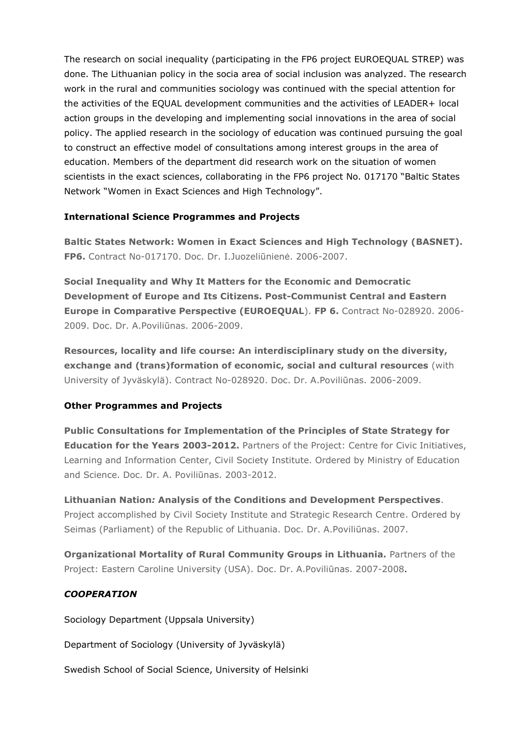The research on social inequality (participating in the FP6 project EUROEQUAL STREP) was done. The Lithuanian policy in the socia area of social inclusion was analyzed. The research work in the rural and communities sociology was continued with the special attention for the activities of the EQUAL development communities and the activities of LEADER+ local action groups in the developing and implementing social innovations in the area of social policy. The applied research in the sociology of education was continued pursuing the goal to construct an effective model of consultations among interest groups in the area of education. Members of the department did research work on the situation of women scientists in the exact sciences, collaborating in the FP6 project No. 017170 "Baltic States Network "Women in Exact Sciences and High Technology".

# **International Science Programmes and Projects**

**Baltic States Network: Women in Exact Sciences and High Technology (BASNET). FP6.** Contract No-017170. Doc. Dr. I.Juozeliūnienė. 2006-2007.

**Social Inequality and Why It Matters for the Economic and Democratic Development of Europe and Its Citizens. Post-Communist Central and Eastern Europe in Comparative Perspective (EUROEQUAL**). **FP 6.** Contract No-028920. 2006- 2009. Doc. Dr. A.Poviliūnas. 2006-2009.

**Resources, locality and life course: An interdisciplinary study on the diversity, exchange and (trans)formation of economic, social and cultural resources** (with University of Jyväskylä). Contract No-028920. Doc. Dr. A.Poviliūnas. 2006-2009.

# **Other Programmes and Projects**

**Public Consultations for Implementation of the Principles of State Strategy for Education for the Years 2003-2012.** Partners of the Project: Centre for Civic Initiatives, Learning and Information Center, Civil Society Institute. Ordered by Ministry of Education and Science. Doc. Dr. A. Poviliūnas. 2003-2012.

**Lithuanian Nation***:* **Analysis of the Conditions and Development Perspectives**. Project accomplished by Civil Society Institute and Strategic Research Centre. Ordered by Seimas (Parliament) of the Republic of Lithuania. Doc. Dr. A.Poviliūnas. 2007.

**Organizational Mortality of Rural Community Groups in Lithuania.** Partners of the Project: Eastern Caroline University (USA). Doc. Dr. A.Poviliūnas. 2007-2008.

# *COOPERATION*

Sociology Department (Uppsala University)

Department of Sociology (University of Jyväskylä)

Swedish School of Social Science, University of Helsinki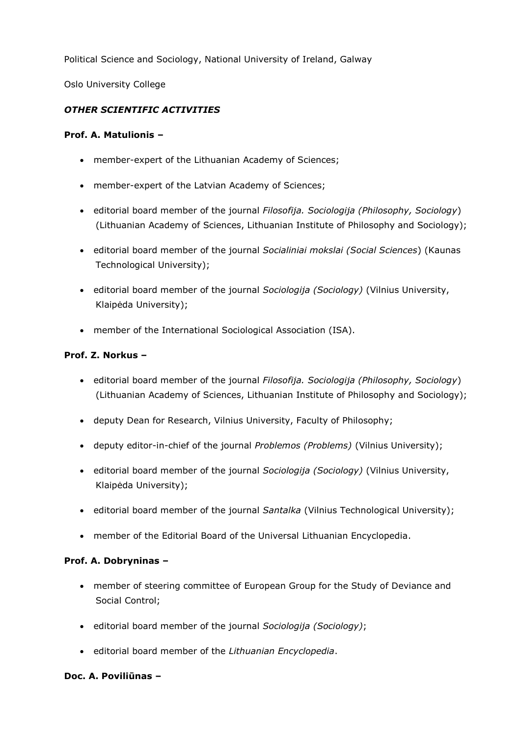Political Science and Sociology, National University of Ireland, Galway

Oslo University College

# *OTHER SCIENTIFIC ACTIVITIES*

# **Prof. A. Matulionis –**

- member-expert of the Lithuanian Academy of Sciences;
- member-expert of the Latvian Academy of Sciences;
- editorial board member of the journal *Filosofija. Sociologija (Philosophy, Sociology*) (Lithuanian Academy of Sciences, Lithuanian Institute of Philosophy and Sociology);
- editorial board member of the journal *Socialiniai mokslai (Social Sciences*) (Kaunas Technological University);
- editorial board member of the journal *Sociologija (Sociology)* (Vilnius University, Klaipėda University);
- member of the International Sociological Association (ISA).

# **Prof. Z. Norkus –**

- editorial board member of the journal *Filosofija. Sociologija (Philosophy, Sociology*) (Lithuanian Academy of Sciences, Lithuanian Institute of Philosophy and Sociology);
- deputy Dean for Research, Vilnius University, Faculty of Philosophy;
- deputy editor-in-chief of the journal *Problemos (Problems)* (Vilnius University);
- editorial board member of the journal *Sociologija (Sociology)* (Vilnius University, Klaipėda University);
- editorial board member of the journal *Santalka* (Vilnius Technological University);
- member of the Editorial Board of the Universal Lithuanian Encyclopedia.

# **Prof. A. Dobryninas –**

- member of steering committee of European Group for the Study of Deviance and Social Control;
- editorial board member of the journal *Sociologija (Sociology)*;
- editorial board member of the *Lithuanian Encyclopedia*.

# **Doc. A. Poviliūnas –**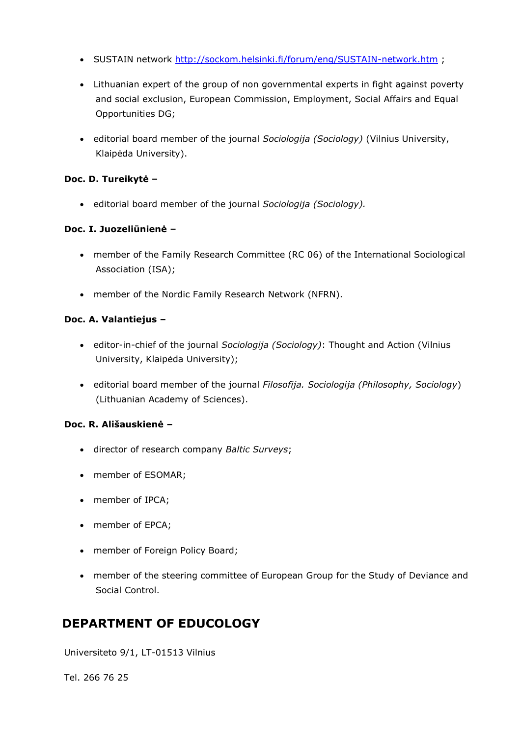- SUSTAIN network <http://sockom.helsinki.fi/forum/eng/SUSTAIN-network.htm>;
- Lithuanian expert of the group of non governmental experts in fight against poverty and social exclusion, European Commission, Employment, Social Affairs and Equal Opportunities DG;
- editorial board member of the journal *Sociologija (Sociology)* (Vilnius University, Klaipėda University).

## **Doc. D. Tureikytė –**

editorial board member of the journal *Sociologija (Sociology).*

# **Doc. I. Juozeliūnienė –**

- member of the Family Research Committee (RC 06) of the International Sociological Association (ISA);
- member of the Nordic Family Research Network (NFRN).

# **Doc. A. Valantiejus –**

- editor-in-chief of the journal *Sociologija (Sociology)*: Thought and Action (Vilnius University, Klaipėda University);
- editorial board member of the journal *Filosofija. Sociologija (Philosophy, Sociology*) (Lithuanian Academy of Sciences).

#### **Doc. R. Ališauskienė –**

- director of research company *Baltic Surveys*;
- member of ESOMAR;
- member of IPCA;
- member of EPCA;
- member of Foreign Policy Board;
- member of the steering committee of European Group for the Study of Deviance and Social Control.

# **DEPARTMENT OF EDUCOLOGY**

Universiteto 9/1, LT-01513 Vilnius

Tel. 266 76 25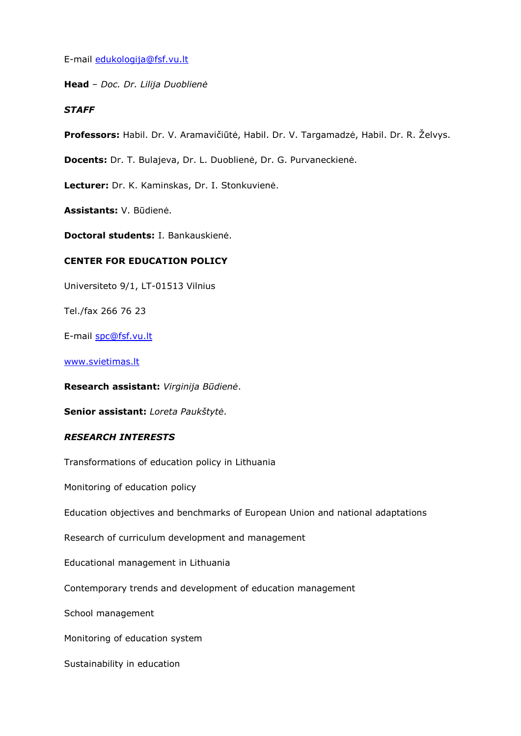E-mail [edukologija@fsf.vu.lt](mailto:edukologija@fsf.vu.lt)

**Head** – *Doc. Dr. Lilija Duoblienė*

#### *STAFF*

**Professors:** Habil. Dr. V. Aramavičiūtė, Habil. Dr. V. Targamadzė, Habil. Dr. R. Želvys.

**Docents:** Dr. T. Bulajeva, Dr. L. Duoblienė, Dr. G. Purvaneckienė.

**Lecturer:** Dr. K. Kaminskas, Dr. I. Stonkuvienė.

**Assistants:** V. Būdienė.

**Doctoral students:** I. Bankauskienė.

#### **CENTER FOR EDUCATION POLICY**

Universiteto 9/1, LT-01513 Vilnius

Tel./fax 266 76 23

E-mail [spc@fsf.vu.lt](mailto:spc@fsf.vu.lt)

#### [www.svietimas.lt](http://www.svietimas.lt/)

**Research assistant:** *Virginija Būdienė*.

**Senior assistant:** *Loreta Paukštytė*.

#### *RESEARCH INTERESTS*

Transformations of education policy in Lithuania

Monitoring of education policy

Education objectives and benchmarks of European Union and national adaptations

Research of curriculum development and management

Educational management in Lithuania

Contemporary trends and development of education management

School management

Monitoring of education system

Sustainability in education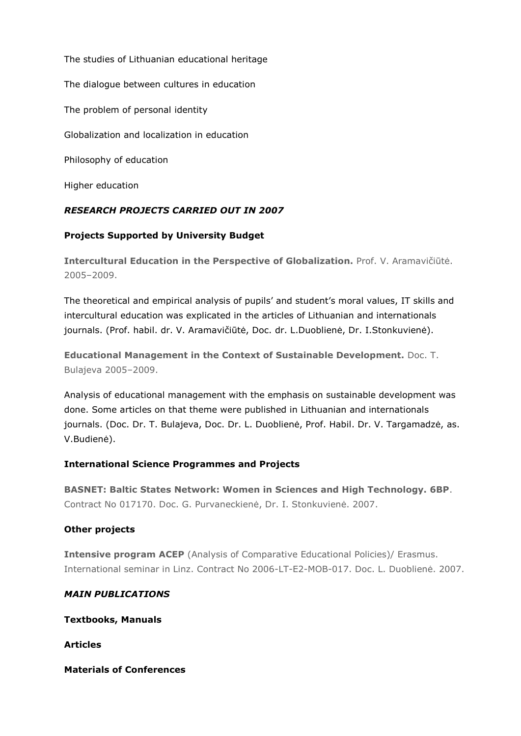The studies of Lithuanian educational heritage The dialogue between cultures in education The problem of personal identity Globalization and localization in education Philosophy of education Higher education

# *RESEARCH PROJECTS CARRIED OUT IN 2007*

# **Projects Supported by University Budget**

**Intercultural Education in the Perspective of Globalization.** Prof. V. Aramavičiūtė. 2005–2009.

The theoretical and empirical analysis of pupils' and student's moral values, IT skills and intercultural education was explicated in the articles of Lithuanian and internationals journals. (Prof. habil. dr. V. Aramavičiūtė, Doc. dr. L.Duoblienė, Dr. I.Stonkuvienė).

**Educational Management in the Context of Sustainable Development.** Doc. T. Bulajeva 2005–2009.

Analysis of educational management with the emphasis on sustainable development was done. Some articles on that theme were published in Lithuanian and internationals journals. (Doc. Dr. T. Bulajeva, Doc. Dr. L. Duoblienė, Prof. Habil. Dr. V. Targamadzė, as. V.Budienė).

# **International Science Programmes and Projects**

**BASNET: Baltic States Network: Women in Sciences and High Technology. 6BP**. Contract No 017170. Doc. G. Purvaneckienė, Dr. I. Stonkuvienė. 2007.

# **Other projects**

**Intensive program ACEP** (Analysis of Comparative Educational Policies)/ Erasmus. International seminar in Linz. Contract No 2006-LT-E2-MOB-017. Doc. L. Duoblienė. 2007.

# *MAIN PUBLICATIONS*

**Textbooks, Manuals**

**Articles**

**Materials of Conferences**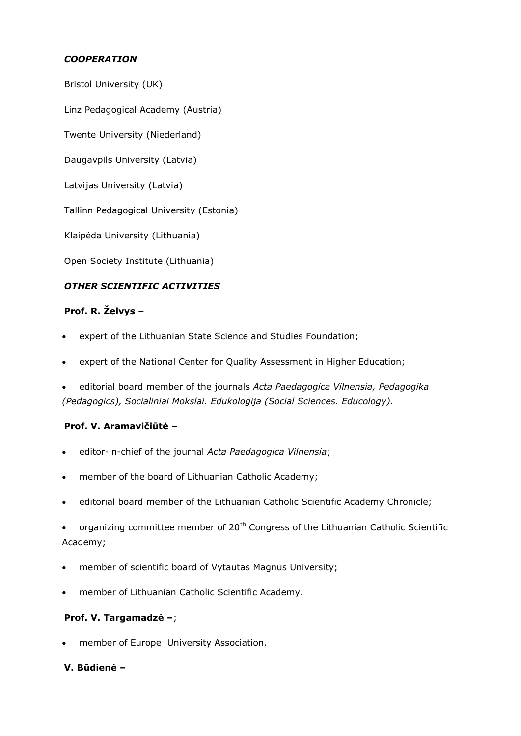# *COOPERATION*

Bristol University (UK)

Linz Pedagogical Academy (Austria)

Twente University (Niederland)

Daugavpils University (Latvia)

Latvijas University (Latvia)

Tallinn Pedagogical University (Estonia)

Klaipėda University (Lithuania)

Open Society Institute (Lithuania)

# *OTHER SCIENTIFIC ACTIVITIES*

# **Prof. R. Želvys –**

- expert of the Lithuanian State Science and Studies Foundation;
- expert of the National Center for Quality Assessment in Higher Education;
- editorial board member of the journals *Acta Paedagogica Vilnensia, Pedagogika (Pedagogics), Socialiniai Mokslai. Edukologija (Social Sciences. Educology).*

# **Prof. V. Aramavičiūtė –**

- editor-in-chief of the journal *Acta Paedagogica Vilnensia*;
- member of the board of Lithuanian Catholic Academy;
- editorial board member of the Lithuanian Catholic Scientific Academy Chronicle;
- organizing committee member of 20<sup>th</sup> Congress of the Lithuanian Catholic Scientific Academy;
- member of scientific board of Vytautas Magnus University;
- member of Lithuanian Catholic Scientific Academy.

#### **Prof. V. Targamadzė –**;

member of Europe University Association.

# **V. Būdienė –**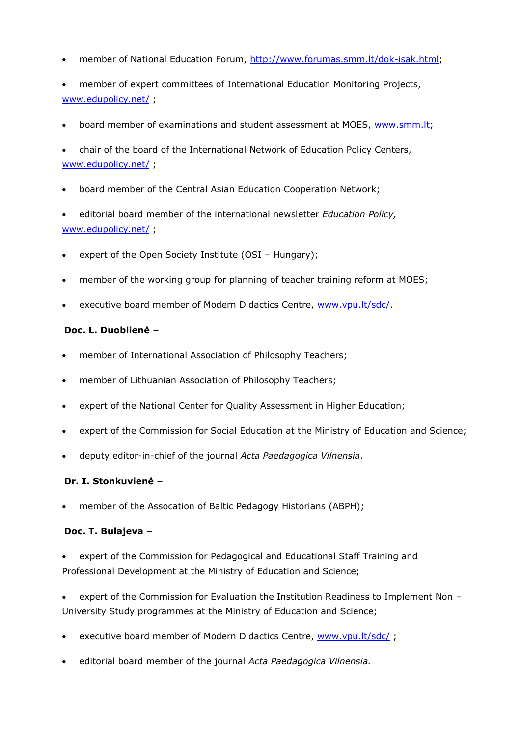- member of National Education Forum, [http://www.forumas.smm.lt/dok-isak.html;](http://www.forumas.smm.lt/dok-isak.html)
- member of expert committees of International Education Monitoring Projects, [www.edupolicy.net/](http://www.edupolicy.net/) ;
- board member of examinations and student assessment at MOES, [www.smm.lt;](http://www.smm.lt/)
- chair of the board of the International Network of Education Policy Centers, [www.edupolicy.net/](http://www.edupolicy.net/) ;
- board member of the Central Asian Education Cooperation Network;
- editorial board member of the international newsletter *Education Policy,* [www.edupolicy.net/](http://www.edupolicy.net/);
- expert of the Open Society Institute (OSI Hungary);
- member of the working group for planning of teacher training reform at MOES;
- executive board member of Modern Didactics Centre, [www.vpu.lt/sdc/.](http://www.vpu.lt/sdc/)

#### **Doc. L. Duoblienė –**

- member of International Association of Philosophy Teachers;
- member of Lithuanian Association of Philosophy Teachers;
- expert of the National Center for Quality Assessment in Higher Education;
- expert of the Commission for Social Education at the Ministry of Education and Science;
- deputy editor-in-chief of the journal *Acta Paedagogica Vilnensia*.

#### **Dr. I. Stonkuvienė –**

member of the Assocation of Baltic Pedagogy Historians (ABPH);

#### **Doc. T. Bulajeva –**

- expert of the Commission for Pedagogical and Educational Staff Training and Professional Development at the Ministry of Education and Science;
- expert of the Commission for Evaluation the Institution Readiness to Implement Non University Study programmes at the Ministry of Education and Science;
- executive board member of Modern Didactics Centre, [www.vpu.lt/sdc/](http://www.vpu.lt/sdc/);
- editorial board member of the journal *Acta Paedagogica Vilnensia.*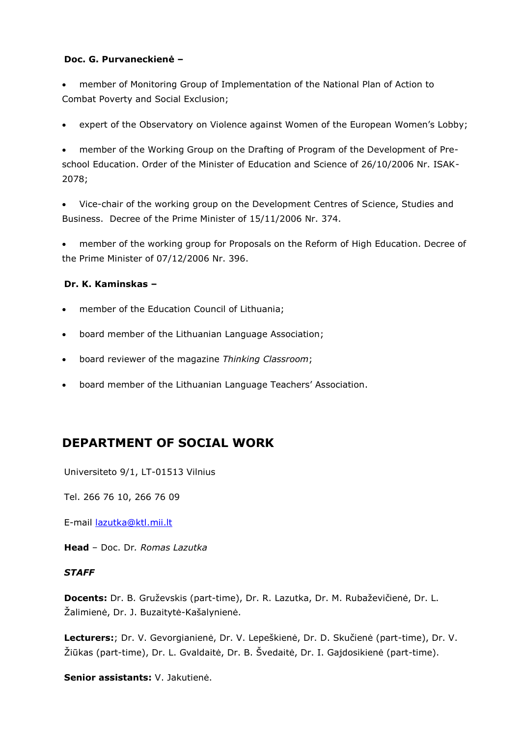#### **Doc. G. Purvaneckienė –**

 member of Monitoring Group of Implementation of the National Plan of Action to Combat Poverty and Social Exclusion;

expert of the Observatory on Violence against Women of the European Women's Lobby;

 member of the Working Group on the Drafting of Program of the Development of Preschool Education. Order of the Minister of Education and Science of 26/10/2006 Nr. ISAK-2078;

 Vice-chair of the working group on the Development Centres of Science, Studies and Business. Decree of the Prime Minister of 15/11/2006 Nr. 374.

 member of the working group for Proposals on the Reform of High Education. Decree of the Prime Minister of 07/12/2006 Nr. 396.

# **Dr. K. Kaminskas –**

- member of the Education Council of Lithuania;
- board member of the Lithuanian Language Association;
- board reviewer of the magazine *Thinking Classroom*;
- board member of the Lithuanian Language Teachers' Association.

# **DEPARTMENT OF SOCIAL WORK**

Universiteto 9/1, LT-01513 Vilnius

Tel. 266 76 10, 266 76 09

E-mail [lazutka@ktl.mii.lt](mailto:lazutka@ktl.mii.lt)

**Head** – Doc. Dr*. Romas Lazutka*

#### *STAFF*

**Docents:** Dr. B. Gruževskis (part-time), Dr. R. Lazutka, Dr. M. Rubaževičienė, Dr. L. Žalimienė, Dr. J. Buzaitytė-Kašalynienė.

**Lecturers:**; Dr. V. Gevorgianienė, Dr. V. Lepeškienė, Dr. D. Skučienė (part-time), Dr. V. Žiūkas (part-time), Dr. L. Gvaldaitė, Dr. B. Švedaitė, Dr. I. Gajdosikienė (part-time).

**Senior assistants:** V. Jakutienė.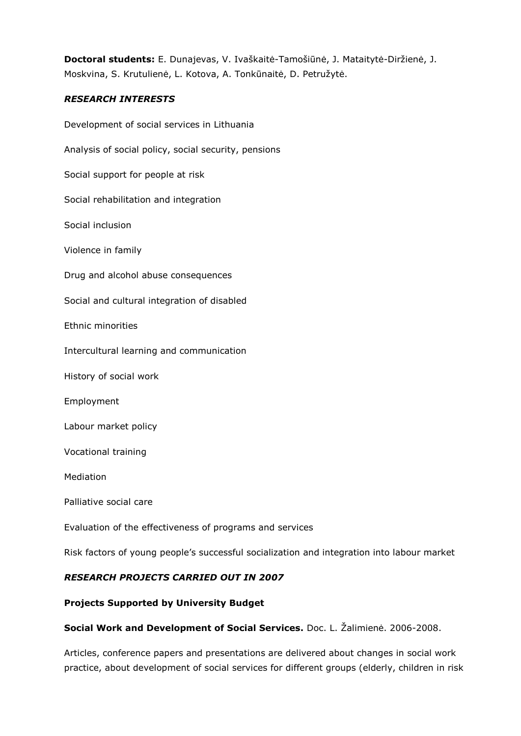**Doctoral students:** E. Dunajevas, V. Ivaškaitė-Tamošiūnė, J. Mataitytė-Diržienė, J. Moskvina, S. Krutulienė, L. Kotova, A. Tonkūnaitė, D. Petružytė.

# *RESEARCH INTERESTS*

Development of social services in Lithuania Analysis of social policy, social security, pensions Social support for people at risk Social rehabilitation and integration Social inclusion Violence in family Drug and alcohol abuse consequences Social and cultural integration of disabled Ethnic minorities Intercultural learning and communication History of social work Employment Labour market policy Vocational training Mediation Palliative social care Evaluation of the effectiveness of programs and services

Risk factors of young people's successful socialization and integration into labour market

# *RESEARCH PROJECTS CARRIED OUT IN 2007*

# **Projects Supported by University Budget**

**Social Work and Development of Social Services.** Doc. L. Žalimienė. 2006-2008.

Articles, conference papers and presentations are delivered about changes in social work practice, about development of social services for different groups (elderly, children in risk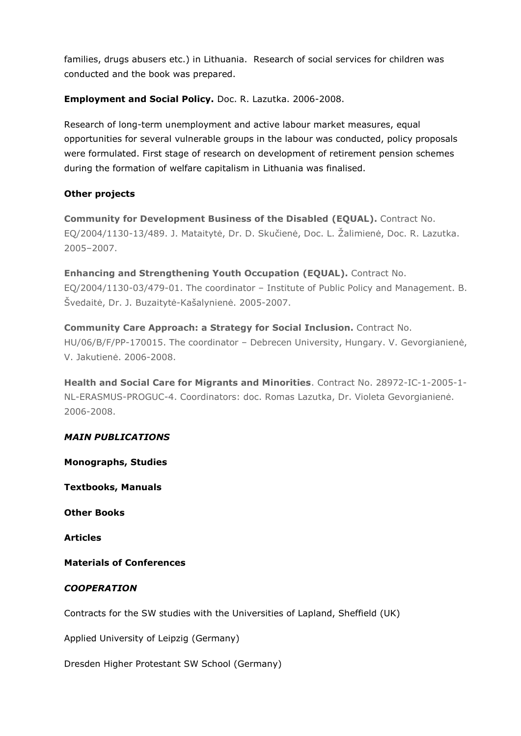families, drugs abusers etc.) in Lithuania. Research of social services for children was conducted and the book was prepared.

# **Employment and Social Policy.** Doc. R. Lazutka. 2006-2008.

Research of long-term unemployment and active labour market measures, equal opportunities for several vulnerable groups in the labour was conducted, policy proposals were formulated. First stage of research on development of retirement pension schemes during the formation of welfare capitalism in Lithuania was finalised.

# **Other projects**

**Community for Development Business of the Disabled (EQUAL).** Contract No. EQ/2004/1130-13/489. J. Mataitytė, Dr. D. Skučienė, Doc. L. Žalimienė, Doc. R. Lazutka. 2005–2007.

**Enhancing and Strengthening Youth Occupation (EQUAL).** Contract No. EQ/2004/1130-03/479-01. The coordinator – Institute of Public Policy and Management. B. Švedaitė, Dr. J. Buzaitytė-Kašalynienė. 2005-2007.

**Community Care Approach: a Strategy for Social Inclusion.** Contract No. HU/06/B/F/PP-170015. The coordinator – Debrecen University, Hungary. V. Gevorgianienė, V. Jakutienė. 2006-2008.

**Health and Social Care for Migrants and Minorities**. Contract No. 28972-IC-1-2005-1- NL-ERASMUS-PROGUC-4. Coordinators: doc. Romas Lazutka, Dr. Violeta Gevorgianienė. 2006-2008.

#### *MAIN PUBLICATIONS*

**Monographs, Studies**

**Textbooks, Manuals**

**Other Books**

**Articles**

#### **Materials of Conferences**

# *COOPERATION*

Contracts for the SW studies with the Universities of Lapland, Sheffield (UK)

Applied University of Leipzig (Germany)

Dresden Higher Protestant SW School (Germany)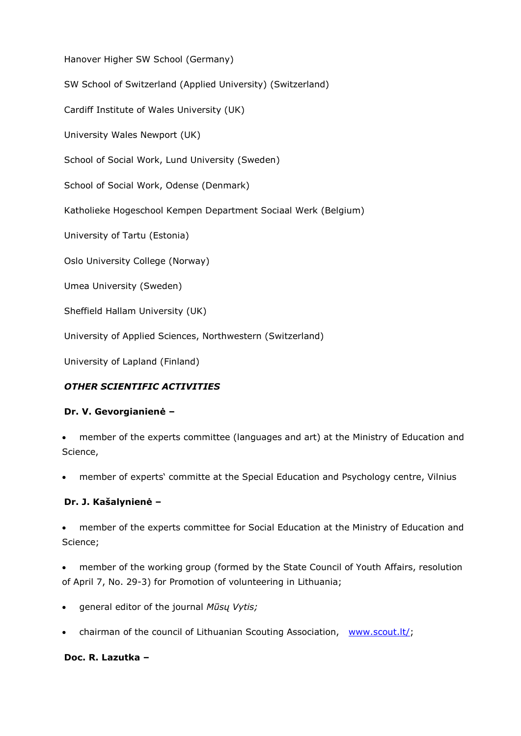Hanover Higher SW School (Germany)

SW School of Switzerland (Applied University) (Switzerland)

Cardiff Institute of Wales University (UK)

University Wales Newport (UK)

School of Social Work, Lund University (Sweden)

School of Social Work, Odense (Denmark)

Katholieke Hogeschool Kempen Department Sociaal Werk (Belgium)

University of Tartu (Estonia)

Oslo University College (Norway)

Umea University (Sweden)

Sheffield Hallam University (UK)

University of Applied Sciences, Northwestern (Switzerland)

University of Lapland (Finland)

# *OTHER SCIENTIFIC ACTIVITIES*

#### **Dr. V. Gevorgianienė –**

 member of the experts committee (languages and art) at the Ministry of Education and Science,

member of experts' committe at the Special Education and Psychology centre, Vilnius

#### **Dr. J. Kašalynienė –**

 member of the experts committee for Social Education at the Ministry of Education and Science;

 member of the working group (formed by the State Council of Youth Affairs, resolution of April 7, No. 29-3) for Promotion of volunteering in Lithuania;

- general editor of the journal *Mūsų Vytis;*
- chairman of the council of Lithuanian Scouting Association, [www.scout.lt/;](http://www.scout.lt/)

#### **Doc. R. Lazutka –**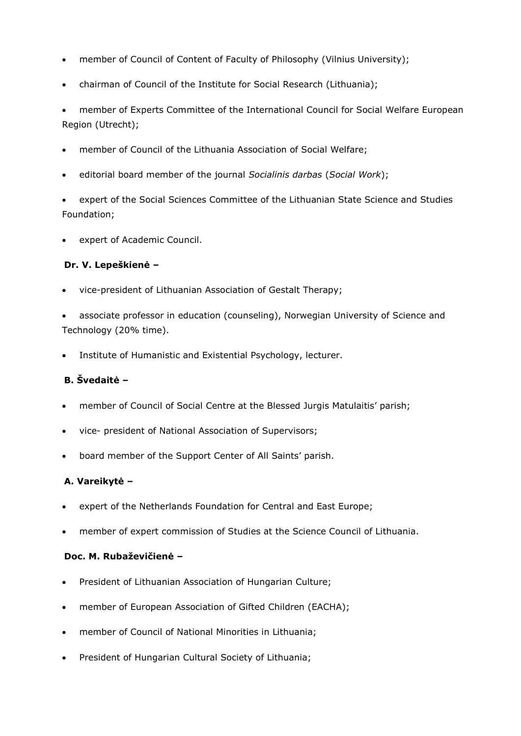- member of Council of Content of Faculty of Philosophy (Vilnius University);
- chairman of Council of the Institute for Social Research (Lithuania);

 member of Experts Committee of the International Council for Social Welfare European Region (Utrecht);

- member of Council of the Lithuania Association of Social Welfare;
- editorial board member of the journal *Socialinis darbas* (*Social Work*);

 expert of the Social Sciences Committee of the Lithuanian State Science and Studies Foundation;

expert of Academic Council.

# **Dr. V. Lepeškienė –**

- vice-president of Lithuanian Association of Gestalt Therapy;
- associate professor in education (counseling), Norwegian University of Science and Technology (20% time).
- Institute of Humanistic and Existential Psychology, lecturer.

# **B. Švedaitė –**

- member of Council of Social Centre at the Blessed Jurgis Matulaitis' parish;
- vice- president of National Association of Supervisors;
- board member of the Support Center of All Saints' parish.

# **A. Vareikytė –**

- expert of the Netherlands Foundation for Central and East Europe;
- member of expert commission of Studies at the Science Council of Lithuania.

#### **Doc. M. Rubaževičienė –**

- President of Lithuanian Association of Hungarian Culture;
- member of European Association of Gifted Children (EACHA);
- member of Council of National Minorities in Lithuania;
- President of Hungarian Cultural Society of Lithuania;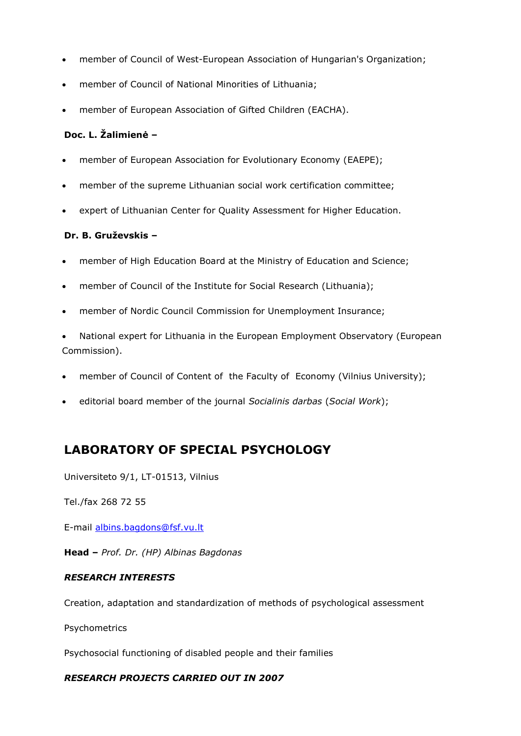- member of Council of West-European Association of Hungarian's Organization;
- member of Council of National Minorities of Lithuania;
- member of European Association of Gifted Children (EACHA).

# **Doc. L. Žalimienė –**

- member of European Association for Evolutionary Economy (EAEPE);
- member of the supreme Lithuanian social work certification committee;
- expert of Lithuanian Center for Quality Assessment for Higher Education.

# **Dr. B. Gruževskis –**

- member of High Education Board at the Ministry of Education and Science;
- member of Council of the Institute for Social Research (Lithuania);
- member of Nordic Council Commission for Unemployment Insurance;

 National expert for Lithuania in the European Employment Observatory (European Commission).

- member of Council of Content of the Faculty of Economy (Vilnius University);
- editorial board member of the journal *Socialinis darbas* (*Social Work*);

# **LABORATORY OF SPECIAL PSYCHOLOGY**

Universiteto 9/1, LT-01513, Vilnius

Tel./fax 268 72 55

E-mail [albins.bagdons@fsf.vu.lt](mailto:albins.bagdons@fsf.vu.lt)

**Head –** *Prof. Dr. (HP) Albinas Bagdonas* 

#### *RESEARCH INTERESTS*

Creation, adaptation and standardization of methods of psychological assessment

Psychometrics

Psychosocial functioning of disabled people and their families

#### *RESEARCH PROJECTS CARRIED OUT IN 2007*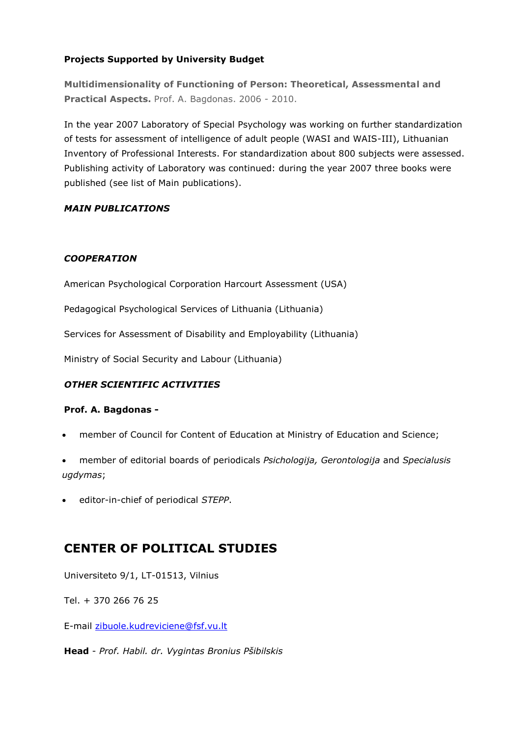# **Projects Supported by University Budget**

**Multidimensionality of Functioning of Person: Theoretical, Assessmental and Practical Aspects.** Prof. A. Bagdonas. 2006 - 2010.

In the year 2007 Laboratory of Special Psychology was working on further standardization of tests for assessment of intelligence of adult people (WASI and WAIS-III), Lithuanian Inventory of Professional Interests. For standardization about 800 subjects were assessed. Publishing activity of Laboratory was continued: during the year 2007 three books were published (see list of Main publications).

# *MAIN PUBLICATIONS*

# *COOPERATION*

American Psychological Corporation Harcourt Assessment (USA)

Pedagogical Psychological Services of Lithuania (Lithuania)

Services for Assessment of Disability and Employability (Lithuania)

Ministry of Social Security and Labour (Lithuania)

# *OTHER SCIENTIFIC ACTIVITIES*

#### **Prof. A. Bagdonas -**

- member of Council for Content of Education at Ministry of Education and Science;
- member of editorial boards of periodicals *Psichologija, Gerontologija* and *Specialusis ugdymas*;
- editor-in-chief of periodical *STEPP*.

# **CENTER OF POLITICAL STUDIES**

Universiteto 9/1, LT-01513, Vilnius

Tel. + 370 266 76 25

E-mail [zibuole.kudreviciene@fsf.vu.lt](mailto:zibuole.kudreviciene@fsf.vu.lt)

**Head** - *Prof. Habil. dr. Vygintas Bronius Pšibilskis*